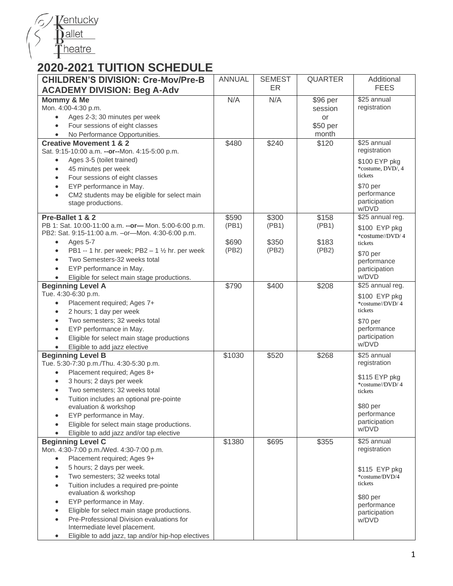

## **2020-2021 TUITION SCHEDULE**

| <b>CHILDREN'S DIVISION: Cre-Mov/Pre-B</b>                                           | <b>ANNUAL</b> | <b>SEMEST</b> | <b>QUARTER</b> | Additional                  |
|-------------------------------------------------------------------------------------|---------------|---------------|----------------|-----------------------------|
| <b>ACADEMY DIVISION: Beg A-Adv</b>                                                  |               | ER.           |                | <b>FEES</b>                 |
| Mommy & Me                                                                          | N/A           | N/A           | \$96 per       | \$25 annual                 |
| Mon. 4:00-4:30 p.m.                                                                 |               |               | session        | registration                |
| Ages 2-3; 30 minutes per week<br>$\bullet$                                          |               |               | or             |                             |
| Four sessions of eight classes<br>$\bullet$                                         |               |               | \$50 per       |                             |
| No Performance Opportunities.<br>$\bullet$                                          |               |               | month          |                             |
| <b>Creative Movement 1 &amp; 2</b>                                                  | \$480         | \$240         | \$120          | \$25 annual                 |
| Sat. 9:15-10:00 a.m. -- or--Mon. 4:15-5:00 p.m.                                     |               |               |                | registration                |
| Ages 3-5 (toilet trained)<br>$\bullet$                                              |               |               |                | \$100 EYP pkg               |
| 45 minutes per week<br>$\bullet$                                                    |               |               |                | *costume, DVD/, 4           |
| Four sessions of eight classes<br>$\bullet$                                         |               |               |                | tickets                     |
| EYP performance in May.                                                             |               |               |                | \$70 per                    |
| CM2 students may be eligible for select main                                        |               |               |                | performance                 |
| stage productions.                                                                  |               |               |                | participation<br>w/DVD      |
| Pre-Ballet 1 & 2                                                                    | \$590         | \$300         | \$158          | \$25 annual reg.            |
| PB 1: Sat. 10:00-11:00 a.m. -- or- Mon. 5:00-6:00 p.m.                              | (PB1)         | (PB1)         | (PB1)          | \$100 EYP pkg               |
| PB2: Sat. 9:15-11:00 a.m. - or-Mon. 4:30-6:00 p.m.                                  |               |               |                | *costume//DVD/4             |
| Ages 5-7<br>$\bullet$                                                               | \$690         | \$350         | \$183          | tickets                     |
| PB1 -- 1 hr. per week; PB2 - 1 1/2 hr. per week<br>$\bullet$                        | (PB2)         | (PB2)         | (PB2)          | \$70 per                    |
| Two Semesters-32 weeks total<br>$\bullet$                                           |               |               |                | performance                 |
| EYP performance in May.<br>$\bullet$                                                |               |               |                | participation               |
| Eligible for select main stage productions.                                         |               |               |                | w/DVD                       |
| <b>Beginning Level A</b>                                                            | \$790         | \$400         | \$208          | \$25 annual reg.            |
| Tue. 4:30-6:30 p.m.                                                                 |               |               |                | \$100 EYP pkg               |
| Placement required; Ages 7+<br>$\bullet$                                            |               |               |                | *costume//DVD/4             |
| 2 hours; 1 day per week<br>$\bullet$                                                |               |               |                | tickets                     |
| Two semesters; 32 weeks total<br>$\bullet$                                          |               |               |                | \$70 per                    |
| EYP performance in May.<br>$\bullet$                                                |               |               |                | performance                 |
| Eligible for select main stage productions<br>$\bullet$                             |               |               |                | participation<br>w/DVD      |
| Eligible to add jazz elective                                                       |               |               |                |                             |
| <b>Beginning Level B</b>                                                            | \$1030        | \$520         | \$268          | \$25 annual<br>registration |
| Tue. 5:30-7:30 p.m./Thu. 4:30-5:30 p.m.<br>Placement required; Ages 8+<br>$\bullet$ |               |               |                |                             |
| 3 hours; 2 days per week<br>$\bullet$                                               |               |               |                | \$115 EYP pkg               |
| Two semesters; 32 weeks total                                                       |               |               |                | *costume//DVD/4             |
| Tuition includes an optional pre-pointe<br>$\bullet$                                |               |               |                | tickets                     |
| evaluation & workshop                                                               |               |               |                | \$80 per                    |
| EYP performance in May.                                                             |               |               |                | performance                 |
| Eligible for select main stage productions.                                         |               |               |                | participation               |
| Eligible to add jazz and/or tap elective                                            |               |               |                | w/DVD                       |
| <b>Beginning Level C</b>                                                            | \$1380        | \$695         | \$355          | \$25 annual                 |
| Mon. 4:30-7:00 p.m./Wed. 4:30-7:00 p.m.                                             |               |               |                | registration                |
| Placement required; Ages 9+<br>$\bullet$                                            |               |               |                |                             |
| 5 hours; 2 days per week.<br>$\bullet$                                              |               |               |                | \$115 EYP pkg               |
| Two semesters; 32 weeks total<br>$\bullet$                                          |               |               |                | *costume/DVD/4              |
| Tuition includes a required pre-pointe<br>$\bullet$                                 |               |               |                | tickets                     |
| evaluation & workshop                                                               |               |               |                | \$80 per                    |
| EYP performance in May.<br>$\bullet$                                                |               |               |                | performance                 |
| Eligible for select main stage productions.                                         |               |               |                | participation               |
| Pre-Professional Division evaluations for                                           |               |               |                | w/DVD                       |
| Intermediate level placement.                                                       |               |               |                |                             |
| Eligible to add jazz, tap and/or hip-hop electives<br>$\bullet$                     |               |               |                |                             |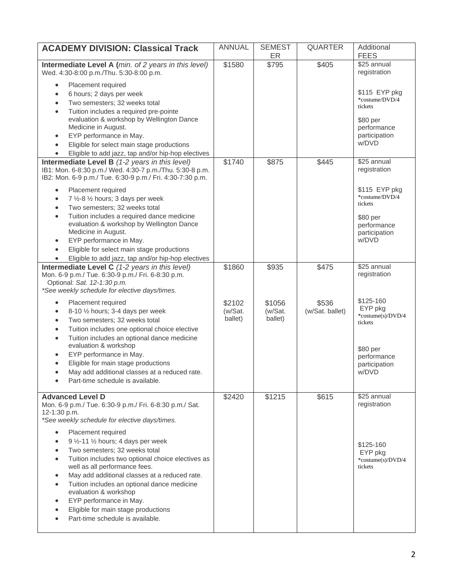| <b>ACADEMY DIVISION: Classical Track</b>                                                                                                                                                                                                                                                                                                                                                  | <b>ANNUAL</b>                | <b>SEMEST</b><br><b>ER</b>   | <b>QUARTER</b>           | Additional<br><b>FEES</b>                                                                                 |
|-------------------------------------------------------------------------------------------------------------------------------------------------------------------------------------------------------------------------------------------------------------------------------------------------------------------------------------------------------------------------------------------|------------------------------|------------------------------|--------------------------|-----------------------------------------------------------------------------------------------------------|
| Intermediate Level A (min. of 2 years in this level)<br>Wed. 4:30-8:00 p.m./Thu. 5:30-8:00 p.m.                                                                                                                                                                                                                                                                                           | \$1580                       | \$795                        | \$405                    | \$25 annual<br>registration                                                                               |
| Placement required<br>6 hours; 2 days per week<br>Two semesters; 32 weeks total<br>Tuition includes a required pre-pointe<br>$\bullet$<br>evaluation & workshop by Wellington Dance<br>Medicine in August.<br>EYP performance in May.<br>$\bullet$<br>Eligible for select main stage productions<br>Eligible to add jazz, tap and/or hip-hop electives                                    |                              |                              |                          | \$115 EYP pkg<br>*costume/DVD/4<br>tickets<br>\$80 per<br>performance<br>participation<br>w/DVD           |
| Intermediate Level B (1-2 years in this level)<br>IB1: Mon. 6-8:30 p.m./ Wed. 4:30-7 p.m./Thu. 5:30-8 p.m.<br>IB2: Mon. 6-9 p.m./ Tue. 6:30-9 p.m./ Fri. 4:30-7:30 p.m.                                                                                                                                                                                                                   | \$1740                       | \$875                        | \$445                    | \$25 annual<br>registration                                                                               |
| Placement required<br>7 1/2-8 1/2 hours; 3 days per week<br>Two semesters; 32 weeks total<br>$\bullet$<br>Tuition includes a required dance medicine<br>$\bullet$<br>evaluation & workshop by Wellington Dance<br>Medicine in August.<br>EYP performance in May.<br>$\bullet$<br>Eligible for select main stage productions<br>Eligible to add jazz, tap and/or hip-hop electives         |                              |                              |                          | \$115 EYP pkg<br>*costume/DVD/4<br>tickets<br>\$80 per<br>performance<br>participation<br>w/DVD           |
| Intermediate Level C (1-2 years in this level)<br>Mon. 6-9 p.m./ Tue. 6:30-9 p.m./ Fri. 6-8:30 p.m.<br>Optional: Sat. 12-1:30 p.m.<br>*See weekly schedule for elective days/times.                                                                                                                                                                                                       | \$1860                       | \$935                        | \$475                    | \$25 annual<br>registration                                                                               |
| Placement required<br>8-10 1/2 hours; 3-4 days per week<br>Two semesters; 32 weeks total<br>Tuition includes one optional choice elective<br>Tuition includes an optional dance medicine<br>$\bullet$<br>evaluation & workshop<br>EYP performance in May.<br>Eligible for main stage productions<br>May add additional classes at a reduced rate.<br>Part-time schedule is available.     | \$2102<br>(w/Sat.<br>ballet) | \$1056<br>(w/Sat.<br>ballet) | \$536<br>(w/Sat. ballet) | \$125-160<br>EYP pkg<br>*costume(s)/DVD/4<br>tickets<br>\$80 per<br>performance<br>participation<br>w/DVD |
| <b>Advanced Level D</b><br>Mon. 6-9 p.m./ Tue. 6:30-9 p.m./ Fri. 6-8:30 p.m./ Sat.<br>12-1:30 p.m.<br>*See weekly schedule for elective days/times.<br>Placement required                                                                                                                                                                                                                 | \$2420                       | \$1215                       | \$615                    | \$25 annual<br>registration                                                                               |
| 9 1/2-11 1/2 hours; 4 days per week<br>Two semesters; 32 weeks total<br>Tuition includes two optional choice electives as<br>well as all performance fees.<br>May add additional classes at a reduced rate.<br>Tuition includes an optional dance medicine<br>evaluation & workshop<br>EYP performance in May.<br>Eligible for main stage productions<br>Part-time schedule is available. |                              |                              |                          | \$125-160<br>EYP pkg<br>*costume(s)/DVD/4<br>tickets                                                      |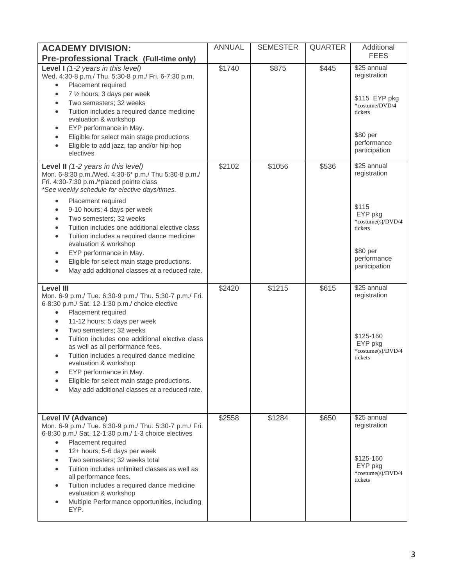| <b>ACADEMY DIVISION:</b>                                                                                                                                                                                                                                                                                                                                                                                                                                                                                                                                                 | <b>ANNUAL</b> | <b>SEMESTER</b> | <b>QUARTER</b> | Additional                                                                                                            |
|--------------------------------------------------------------------------------------------------------------------------------------------------------------------------------------------------------------------------------------------------------------------------------------------------------------------------------------------------------------------------------------------------------------------------------------------------------------------------------------------------------------------------------------------------------------------------|---------------|-----------------|----------------|-----------------------------------------------------------------------------------------------------------------------|
| Pre-professional Track (Full-time only)                                                                                                                                                                                                                                                                                                                                                                                                                                                                                                                                  |               |                 |                | <b>FEES</b>                                                                                                           |
| <b>Level I</b> $(1-2$ years in this level)<br>Wed. 4:30-8 p.m./ Thu. 5:30-8 p.m./ Fri. 6-7:30 p.m.<br>Placement required<br>$\bullet$<br>7 1/2 hours; 3 days per week<br>$\bullet$<br>Two semesters; 32 weeks<br>$\bullet$<br>Tuition includes a required dance medicine<br>$\bullet$<br>evaluation & workshop<br>EYP performance in May.<br>٠<br>Eligible for select main stage productions<br>$\bullet$<br>Eligible to add jazz, tap and/or hip-hop<br>$\bullet$<br>electives                                                                                          | \$1740        | \$875           | \$445          | \$25 annual<br>registration<br>\$115 EYP pkg<br>*costume/DVD/4<br>tickets<br>\$80 per<br>performance<br>participation |
| Level II (1-2 years in this level)<br>Mon. 6-8:30 p.m./Wed. 4:30-6* p.m./ Thu 5:30-8 p.m./<br>Fri. 4:30-7:30 p.m./*placed pointe class<br>*See weekly schedule for elective days/times.<br>Placement required<br>$\bullet$<br>9-10 hours; 4 days per week<br>$\bullet$                                                                                                                                                                                                                                                                                                   | \$2102        | \$1056          | \$536          | \$25 annual<br>registration<br>\$115                                                                                  |
| Two semesters; 32 weeks<br>$\bullet$<br>Tuition includes one additional elective class<br>$\bullet$<br>Tuition includes a required dance medicine<br>$\bullet$<br>evaluation & workshop<br>EYP performance in May.<br>$\bullet$<br>Eligible for select main stage productions.<br>$\bullet$<br>May add additional classes at a reduced rate.<br>$\bullet$                                                                                                                                                                                                                |               |                 |                | EYP pkg<br>*costume(s)/DVD/4<br>tickets<br>\$80 per<br>performance<br>participation                                   |
| <b>Level III</b><br>Mon. 6-9 p.m./ Tue. 6:30-9 p.m./ Thu. 5:30-7 p.m./ Fri.<br>6-8:30 p.m./ Sat. 12-1:30 p.m./ choice elective<br>Placement required<br>$\bullet$<br>11-12 hours; 5 days per week<br>$\bullet$<br>Two semesters; 32 weeks<br>$\bullet$<br>Tuition includes one additional elective class<br>$\bullet$<br>as well as all performance fees.<br>Tuition includes a required dance medicine<br>$\bullet$<br>evaluation & workshop<br>EYP performance in May.<br>Eligible for select main stage productions.<br>May add additional classes at a reduced rate. | \$2420        | \$1215          | \$615          | \$25 annual<br>registration<br>\$125-160<br>EYP pkg<br>*costume(s)/DVD/4<br>tickets                                   |
| Level IV (Advance)<br>Mon. 6-9 p.m./ Tue. 6:30-9 p.m./ Thu. 5:30-7 p.m./ Fri.<br>6-8:30 p.m./ Sat. 12-1:30 p.m./ 1-3 choice electives<br>Placement required<br>$\bullet$<br>12+ hours; 5-6 days per week<br>$\bullet$<br>Two semesters; 32 weeks total<br>$\bullet$<br>Tuition includes unlimited classes as well as<br>$\bullet$<br>all performance fees.<br>Tuition includes a required dance medicine<br>$\bullet$<br>evaluation & workshop<br>Multiple Performance opportunities, including<br>٠<br>EYP.                                                             | \$2558        | \$1284          | \$650          | \$25 annual<br>registration<br>\$125-160<br>EYP pkg<br>*costume(s)/DVD/4<br>tickets                                   |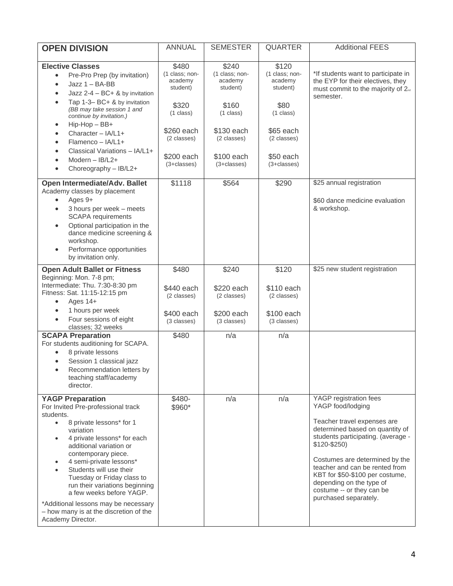| <b>OPEN DIVISION</b>                                                                                                                                                                                                                                                                                                                                                                                                                                                       | <b>ANNUAL</b>                                                   | <b>SEMESTER</b>                                                 | <b>QUARTER</b>                                                  | <b>Additional FEES</b>                                                                                                                                                                                                                                                                                                                                         |
|----------------------------------------------------------------------------------------------------------------------------------------------------------------------------------------------------------------------------------------------------------------------------------------------------------------------------------------------------------------------------------------------------------------------------------------------------------------------------|-----------------------------------------------------------------|-----------------------------------------------------------------|-----------------------------------------------------------------|----------------------------------------------------------------------------------------------------------------------------------------------------------------------------------------------------------------------------------------------------------------------------------------------------------------------------------------------------------------|
| <b>Elective Classes</b>                                                                                                                                                                                                                                                                                                                                                                                                                                                    | \$480                                                           | \$240                                                           | \$120                                                           |                                                                                                                                                                                                                                                                                                                                                                |
| Pre-Pro Prep (by invitation)<br>$\bullet$<br>$Jazz 1 - BA-BB$<br>$\bullet$<br>Jazz 2-4 - BC+ & by invitation                                                                                                                                                                                                                                                                                                                                                               | (1 class; non-<br>academy<br>student)                           | (1 class; non-<br>academy<br>student)                           | (1 class; non-<br>academy<br>student)                           | *If students want to participate in<br>the EYP for their electives, they<br>must commit to the majority of 2 <sup>nd</sup><br>semester.                                                                                                                                                                                                                        |
| Tap 1-3- BC+ & by invitation<br>(BB may take session 1 and<br>continue by invitation.)                                                                                                                                                                                                                                                                                                                                                                                     | \$320<br>$(1$ class)                                            | \$160<br>$(1$ class)                                            | \$80<br>$(1 \text{ class})$                                     |                                                                                                                                                                                                                                                                                                                                                                |
| Hip-Hop - BB+<br>$\bullet$<br>Character - IA/L1+<br>$Flamenco - IA/I.1+$<br>Classical Variations - IA/L1+<br>Modern $-$ IB/L2+<br>Choreography - IB/L2+                                                                                                                                                                                                                                                                                                                    | \$260 each<br>(2 classes)<br>\$200 each<br>$(3 + classes)$      | \$130 each<br>(2 classes)<br>\$100 each<br>$(3 + classes)$      | \$65 each<br>(2 classes)<br>\$50 each<br>$(3 + classes)$        |                                                                                                                                                                                                                                                                                                                                                                |
| Open Intermediate/Adv. Ballet<br>Academy classes by placement<br>Ages 9+<br>$\bullet$<br>3 hours per week - meets<br>$\bullet$<br><b>SCAPA</b> requirements<br>Optional participation in the<br>$\bullet$<br>dance medicine screening &<br>workshop.<br>Performance opportunities<br>by invitation only.                                                                                                                                                                   | \$1118                                                          | \$564                                                           | \$290                                                           | \$25 annual registration<br>\$60 dance medicine evaluation<br>& workshop.                                                                                                                                                                                                                                                                                      |
| <b>Open Adult Ballet or Fitness</b><br>Beginning: Mon. 7-8 pm;<br>Intermediate: Thu. 7:30-8:30 pm<br>Fitness: Sat. 11:15-12:15 pm<br>Ages 14+<br>$\bullet$<br>1 hours per week<br>Four sessions of eight<br>$\bullet$<br>classes; 32 weeks                                                                                                                                                                                                                                 | \$480<br>\$440 each<br>(2 classes)<br>\$400 each<br>(3 classes) | \$240<br>\$220 each<br>(2 classes)<br>\$200 each<br>(3 classes) | \$120<br>\$110 each<br>(2 classes)<br>\$100 each<br>(3 classes) | \$25 new student registration                                                                                                                                                                                                                                                                                                                                  |
| <b>SCAPA Preparation</b><br>For students auditioning for SCAPA.<br>8 private lessons<br>Session 1 classical jazz<br>Recommendation letters by<br>$\bullet$<br>teaching staff/academy<br>director.                                                                                                                                                                                                                                                                          | \$480                                                           | n/a                                                             | n/a                                                             |                                                                                                                                                                                                                                                                                                                                                                |
| <b>YAGP Preparation</b><br>For Invited Pre-professional track<br>students.<br>8 private lessons* for 1<br>$\bullet$<br>variation<br>4 private lessons* for each<br>additional variation or<br>contemporary piece.<br>4 semi-private lessons*<br>Students will use their<br>Tuesday or Friday class to<br>run their variations beginning<br>a few weeks before YAGP.<br>*Additional lessons may be necessary<br>- how many is at the discretion of the<br>Academy Director. | \$480-<br>\$960*                                                | n/a                                                             | n/a                                                             | YAGP registration fees<br>YAGP food/lodging<br>Teacher travel expenses are<br>determined based on quantity of<br>students participating. (average -<br>$$120 - $250)$<br>Costumes are determined by the<br>teacher and can be rented from<br>KBT for \$50-\$100 per costume,<br>depending on the type of<br>costume -- or they can be<br>purchased separately. |